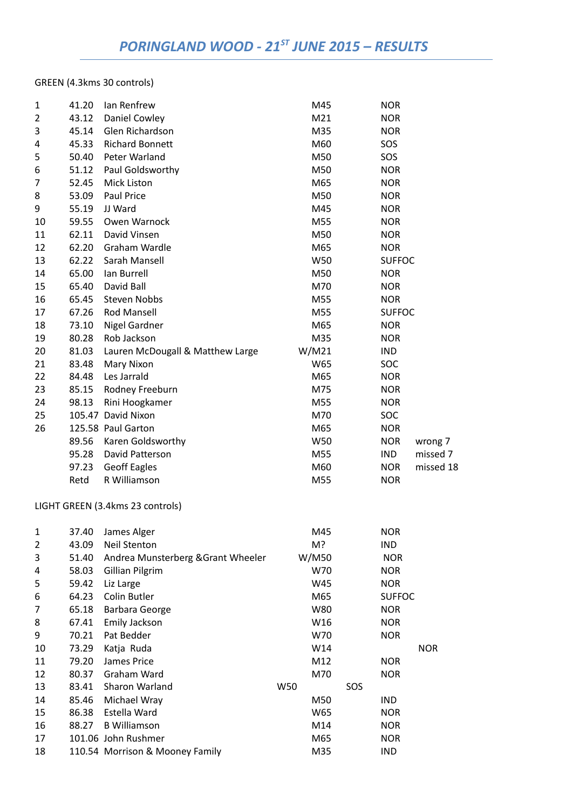## GREEN (4.3kms 30 controls)

| 1  | 41.20 | Ian Renfrew                      | M45   | <b>NOR</b>    |           |
|----|-------|----------------------------------|-------|---------------|-----------|
| 2  | 43.12 | Daniel Cowley                    | M21   | <b>NOR</b>    |           |
| 3  | 45.14 | Glen Richardson                  | M35   | <b>NOR</b>    |           |
| 4  | 45.33 | <b>Richard Bonnett</b>           | M60   | SOS           |           |
| 5  | 50.40 | Peter Warland                    | M50   | SOS           |           |
| 6  | 51.12 | Paul Goldsworthy                 | M50   | <b>NOR</b>    |           |
| 7  | 52.45 | Mick Liston                      | M65   | <b>NOR</b>    |           |
| 8  | 53.09 | <b>Paul Price</b>                | M50   | <b>NOR</b>    |           |
| 9  | 55.19 | JJ Ward                          | M45   | <b>NOR</b>    |           |
| 10 | 59.55 | Owen Warnock                     | M55   | <b>NOR</b>    |           |
| 11 | 62.11 | David Vinsen                     | M50   | <b>NOR</b>    |           |
| 12 | 62.20 | Graham Wardle                    | M65   | <b>NOR</b>    |           |
| 13 | 62.22 | Sarah Mansell                    | W50   | <b>SUFFOC</b> |           |
| 14 | 65.00 | Ian Burrell                      | M50   | <b>NOR</b>    |           |
| 15 | 65.40 | David Ball                       | M70   | <b>NOR</b>    |           |
| 16 | 65.45 | <b>Steven Nobbs</b>              | M55   | <b>NOR</b>    |           |
| 17 | 67.26 | <b>Rod Mansell</b>               | M55   | <b>SUFFOC</b> |           |
| 18 | 73.10 | <b>Nigel Gardner</b>             | M65   | <b>NOR</b>    |           |
| 19 | 80.28 | Rob Jackson                      | M35   | <b>NOR</b>    |           |
| 20 | 81.03 | Lauren McDougall & Matthew Large | W/M21 | <b>IND</b>    |           |
| 21 | 83.48 | Mary Nixon                       | W65   | SOC           |           |
| 22 | 84.48 | Les Jarrald                      | M65   | <b>NOR</b>    |           |
| 23 | 85.15 | Rodney Freeburn                  | M75   | <b>NOR</b>    |           |
| 24 | 98.13 | Rini Hoogkamer                   | M55   | <b>NOR</b>    |           |
| 25 |       | 105.47 David Nixon               | M70   | <b>SOC</b>    |           |
| 26 |       | 125.58 Paul Garton               | M65   | <b>NOR</b>    |           |
|    | 89.56 | Karen Goldsworthy                | W50   | <b>NOR</b>    | wrong 7   |
|    | 95.28 | David Patterson                  | M55   | <b>IND</b>    | missed 7  |
|    | 97.23 | <b>Geoff Eagles</b>              | M60   | <b>NOR</b>    | missed 18 |
|    | Retd  | R Williamson                     | M55   | <b>NOR</b>    |           |

## LIGHT GREEN (3.4kms 23 controls)

| $\mathbf{1}$   | 37.40 | James Alger                        | M45   | <b>NOR</b>    |  |
|----------------|-------|------------------------------------|-------|---------------|--|
| $\overline{2}$ | 43.09 | <b>Neil Stenton</b>                | M?    | IND.          |  |
| 3              | 51.40 | Andrea Munsterberg & Grant Wheeler | W/M50 | <b>NOR</b>    |  |
| 4              | 58.03 | Gillian Pilgrim                    | W70   | <b>NOR</b>    |  |
| 5              | 59.42 | Liz Large                          | W45   | <b>NOR</b>    |  |
| 6              | 64.23 | Colin Butler                       | M65   | <b>SUFFOC</b> |  |
| 7              | 65.18 | Barbara George                     | W80   | <b>NOR</b>    |  |
| 8              | 67.41 | Emily Jackson                      | W16   | <b>NOR</b>    |  |
| 9              | 70.21 | Pat Bedder                         | W70   | <b>NOR</b>    |  |
| 10             | 73.29 | Katja Ruda                         | W14   | <b>NOR</b>    |  |
| 11             | 79.20 | James Price                        | M12   | <b>NOR</b>    |  |
| 12             | 80.37 | Graham Ward                        | M70   | <b>NOR</b>    |  |
| 13             | 83.41 | Sharon Warland                     | W50   | SOS           |  |
| 14             | 85.46 | Michael Wray                       | M50   | IND.          |  |
| 15             | 86.38 | Estella Ward                       | W65   | <b>NOR</b>    |  |
| 16             | 88.27 | <b>B</b> Williamson                | M14   | <b>NOR</b>    |  |
| 17             |       | 101.06 John Rushmer                | M65   | <b>NOR</b>    |  |
| 18             |       | 110.54 Morrison & Mooney Family    | M35   | <b>IND</b>    |  |